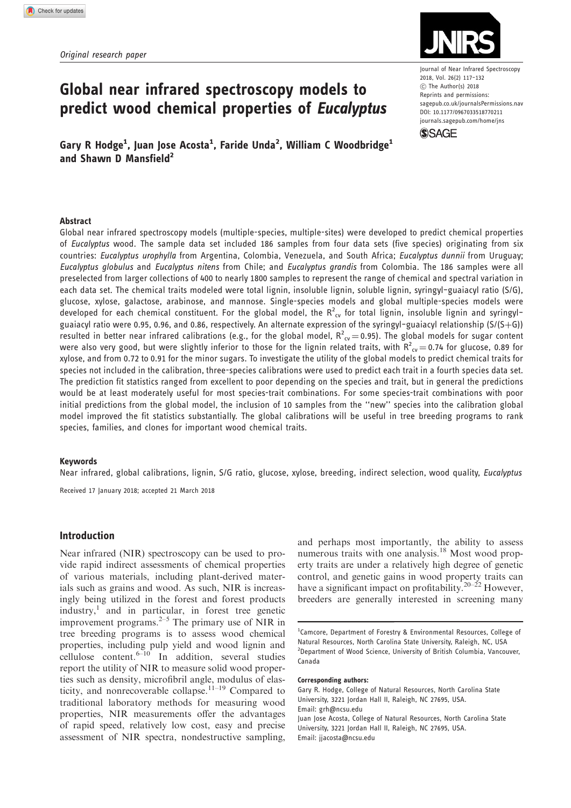

Journal of Near Infrared Spectroscopy 2018, Vol. 26(2) 117–132 C The Author(s) 2018 Reprints and permissions: [sagepub.co.uk/journalsPermissions.nav](https://uk.sagepub.com/en-gb/journals-permissions) DOI: [10.1177/0967033518770211](https://doi.org/10.1177/0967033518770211) <journals.sagepub.com/home/jns>



Gary R Hodge<sup>1</sup>, Juan Jose Acosta<sup>1</sup>, Faride Unda<sup>2</sup>, William C Woodbridge<sup>1</sup> and Shawn D Mansfield<sup>2</sup>

predict wood chemical properties of Eucalyptus

Global near infrared spectroscopy models to

#### Abstract

Global near infrared spectroscopy models (multiple-species, multiple-sites) were developed to predict chemical properties of Eucalyptus wood. The sample data set included 186 samples from four data sets (five species) originating from six countries: Eucalyptus urophylla from Argentina, Colombia, Venezuela, and South Africa; Eucalyptus dunnii from Uruguay; Eucalyptus globulus and Eucalyptus nitens from Chile; and Eucalyptus grandis from Colombia. The 186 samples were all preselected from larger collections of 400 to nearly 1800 samples to represent the range of chemical and spectral variation in each data set. The chemical traits modeled were total lignin, insoluble lignin, soluble lignin, syringyl–guaiacyl ratio (S/G), glucose, xylose, galactose, arabinose, and mannose. Single-species models and global multiple-species models were developed for each chemical constituent. For the global model, the  $R^2_{\text{cv}}$  for total lignin, insoluble lignin and syringylguaiacyl ratio were 0.95, 0.96, and 0.86, respectively. An alternate expression of the syringyl-guaiacyl relationship ( $S/(S+G)$ ) resulted in better near infrared calibrations (e.g., for the global model,  $R^2_{\text{cv}}=$  0.95). The global models for sugar content were also very good, but were slightly inferior to those for the lignin related traits, with  $R^2_{\;\;cv}$   $=$  0.74 for glucose, 0.89 for xylose, and from 0.72 to 0.91 for the minor sugars. To investigate the utility of the global models to predict chemical traits for species not included in the calibration, three-species calibrations were used to predict each trait in a fourth species data set. The prediction fit statistics ranged from excellent to poor depending on the species and trait, but in general the predictions would be at least moderately useful for most species-trait combinations. For some species-trait combinations with poor initial predictions from the global model, the inclusion of 10 samples from the ''new'' species into the calibration global model improved the fit statistics substantially. The global calibrations will be useful in tree breeding programs to rank species, families, and clones for important wood chemical traits.

### Keywords

Near infrared, global calibrations, lignin, S/G ratio, glucose, xylose, breeding, indirect selection, wood quality, *Eucalyptus* 

Received 17 January 2018; accepted 21 March 2018

### Introduction

Near infrared (NIR) spectroscopy can be used to provide rapid indirect assessments of chemical properties of various materials, including plant-derived materials such as grains and wood. As such, NIR is increasingly being utilized in the forest and forest products industry,<sup>1</sup> and in particular, in forest tree genetic improvement programs. $2-5$  The primary use of NIR in tree breeding programs is to assess wood chemical properties, including pulp yield and wood lignin and cellulose content.<sup> $6-10$ </sup> In addition, several studies report the utility of NIR to measure solid wood properties such as density, microfibril angle, modulus of elasticity, and nonrecoverable collapse.<sup>11–19</sup> Compared to traditional laboratory methods for measuring wood properties, NIR measurements offer the advantages of rapid speed, relatively low cost, easy and precise assessment of NIR spectra, nondestructive sampling, and perhaps most importantly, the ability to assess numerous traits with one analysis.<sup>18</sup> Most wood property traits are under a relatively high degree of genetic control, and genetic gains in wood property traits can have a significant impact on profitability.<sup>20–22</sup> However, breeders are generally interested in screening many

#### Corresponding authors:

Gary R. Hodge, College of Natural Resources, North Carolina State University, 3221 Jordan Hall II, Raleigh, NC 27695, USA. Email: grh@ncsu.edu Juan Jose Acosta, College of Natural Resources, North Carolina State University, 3221 Jordan Hall II, Raleigh, NC 27695, USA. Email: jjacosta@ncsu.edu

<sup>&</sup>lt;sup>1</sup>Camcore, Department of Forestry & Environmental Resources, College of Natural Resources, North Carolina State University, Raleigh, NC, USA <sup>2</sup>Department of Wood Science, University of British Columbia, Vancouver, Canada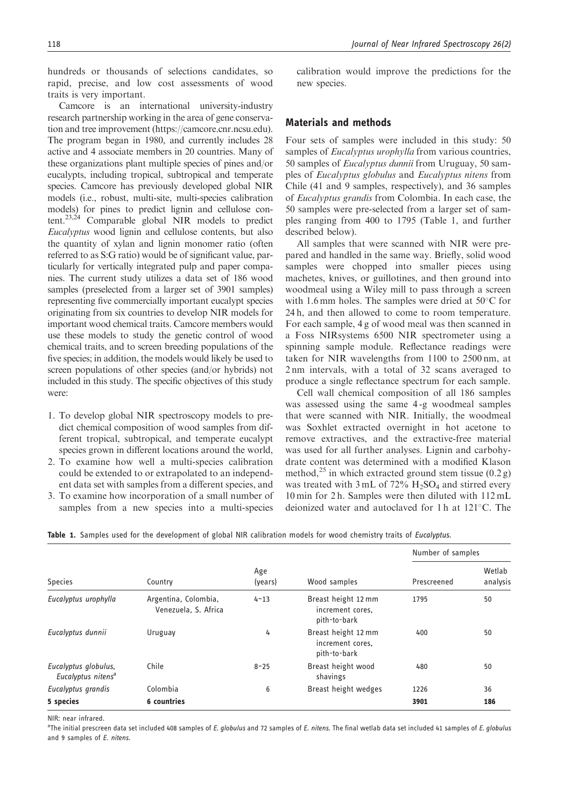hundreds or thousands of selections candidates, so rapid, precise, and low cost assessments of wood traits is very important.

Camcore is an international university-industry research partnership working in the area of gene conservation and tree improvement [\(https://camcore.cnr.ncsu.edu](https://camcore.cnr.ncsu.edu)). The program began in 1980, and currently includes 28 active and 4 associate members in 20 countries. Many of these organizations plant multiple species of pines and/or eucalypts, including tropical, subtropical and temperate species. Camcore has previously developed global NIR models (i.e., robust, multi-site, multi-species calibration models) for pines to predict lignin and cellulose content.<sup>23,24</sup> Comparable global NIR models to predict Eucalyptus wood lignin and cellulose contents, but also the quantity of xylan and lignin monomer ratio (often referred to as S:G ratio) would be of significant value, particularly for vertically integrated pulp and paper companies. The current study utilizes a data set of 186 wood samples (preselected from a larger set of 3901 samples) representing five commercially important eucalypt species originating from six countries to develop NIR models for important wood chemical traits. Camcore members would use these models to study the genetic control of wood chemical traits, and to screen breeding populations of the five species; in addition, the models would likely be used to screen populations of other species (and/or hybrids) not included in this study. The specific objectives of this study were:

- 1. To develop global NIR spectroscopy models to predict chemical composition of wood samples from different tropical, subtropical, and temperate eucalypt species grown in different locations around the world,
- 2. To examine how well a multi-species calibration could be extended to or extrapolated to an independent data set with samples from a different species, and
- 3. To examine how incorporation of a small number of samples from a new species into a multi-species

calibration would improve the predictions for the new species.

## Materials and methods

Four sets of samples were included in this study: 50 samples of *Eucalyptus urophylla* from various countries, 50 samples of Eucalyptus dunnii from Uruguay, 50 samples of Eucalyptus globulus and Eucalyptus nitens from Chile (41 and 9 samples, respectively), and 36 samples of Eucalyptus grandis from Colombia. In each case, the 50 samples were pre-selected from a larger set of samples ranging from 400 to 1795 (Table 1, and further described below).

All samples that were scanned with NIR were prepared and handled in the same way. Briefly, solid wood samples were chopped into smaller pieces using machetes, knives, or guillotines, and then ground into woodmeal using a Wiley mill to pass through a screen with 1.6 mm holes. The samples were dried at  $50^{\circ}$ C for 24 h, and then allowed to come to room temperature. For each sample, 4 g of wood meal was then scanned in a Foss NIRsystems 6500 NIR spectrometer using a spinning sample module. Reflectance readings were taken for NIR wavelengths from 1100 to 2500 nm, at 2 nm intervals, with a total of 32 scans averaged to produce a single reflectance spectrum for each sample.

Cell wall chemical composition of all 186 samples was assessed using the same 4 -g woodmeal samples that were scanned with NIR. Initially, the woodmeal was Soxhlet extracted overnight in hot acetone to remove extractives, and the extractive-free material was used for all further analyses. Lignin and carbohydrate content was determined with a modified Klason method,<sup>25</sup> in which extracted ground stem tissue  $(0.2 g)$ was treated with  $3 \text{ mL of } 72\% \text{ H}_2\text{SO}_4$  and stirred every 10 min for 2 h. Samples were then diluted with 112 mL deionized water and autoclaved for 1h at 121°C. The

Number of samples

| <b>Species</b>                                         | Country                                      | Age<br>(years) | Wood samples                                            | Prescreened | Wetlab<br>analysis |  |  |
|--------------------------------------------------------|----------------------------------------------|----------------|---------------------------------------------------------|-------------|--------------------|--|--|
| Eucalyptus urophylla                                   | Argentina, Colombia,<br>Venezuela, S. Africa | $4 - 13$       | Breast height 12 mm<br>increment cores.<br>pith-to-bark | 1795        | 50                 |  |  |
| Eucalyptus dunnii                                      | Uruguay                                      | 4              | Breast height 12 mm<br>increment cores.<br>pith-to-bark | 400         | 50                 |  |  |
| Eucalyptus globulus,<br>Eucalyptus nitens <sup>a</sup> | Chile                                        | $8 - 25$       | Breast height wood<br>shavings                          | 480         | 50                 |  |  |
| Eucalyptus grandis                                     | Colombia                                     | 6              | Breast height wedges                                    | 1226        | 36                 |  |  |
| 5 species                                              | 6 countries                                  |                |                                                         | 3901        | 186                |  |  |

| Table 1. Samples used for the development of global NIR calibration models for wood chemistry traits of Eucalyptus. |  |
|---------------------------------------------------------------------------------------------------------------------|--|
|---------------------------------------------------------------------------------------------------------------------|--|

NIR: near infrared.

a<br>The initial prescreen data set included 408 samples of *E. globulus* and 72 samples of *E. nitens*. The final wetlab data set included 41 samples of *E. globulus* and 9 samples of E. nitens.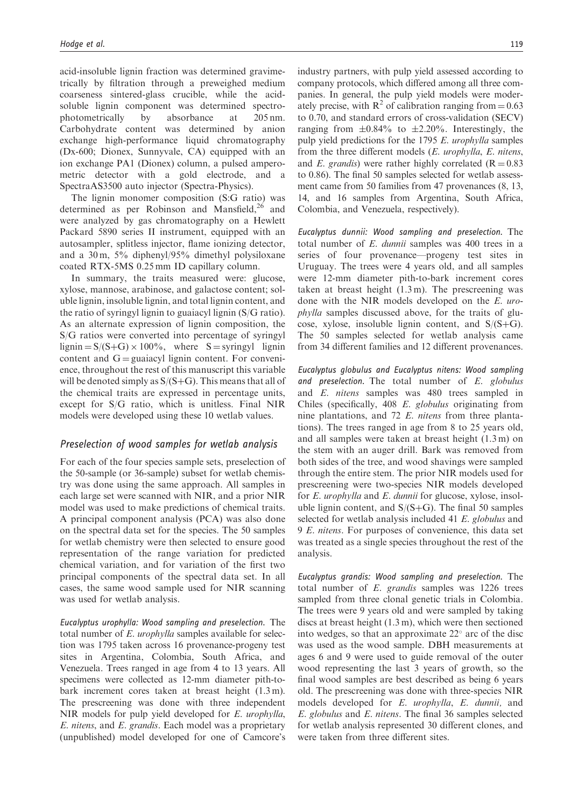acid-insoluble lignin fraction was determined gravimetrically by filtration through a preweighed medium coarseness sintered-glass crucible, while the acidsoluble lignin component was determined spectrophotometrically by absorbance at 205 nm. Carbohydrate content was determined by anion exchange high-performance liquid chromatography (Dx-600; Dionex, Sunnyvale, CA) equipped with an ion exchange PA1 (Dionex) column, a pulsed amperometric detector with a gold electrode, and a SpectraAS3500 auto injector (Spectra-Physics).

The lignin monomer composition (S:G ratio) was determined as per Robinson and Mansfield,<sup>26</sup> and were analyzed by gas chromatography on a Hewlett Packard 5890 series II instrument, equipped with an autosampler, splitless injector, flame ionizing detector, and a 30 m, 5% diphenyl/95% dimethyl polysiloxane coated RTX-5MS 0.25 mm ID capillary column.

In summary, the traits measured were: glucose, xylose, mannose, arabinose, and galactose content; soluble lignin, insoluble lignin, and total lignin content, and the ratio of syringyl lignin to guaiacyl lignin (S/G ratio). As an alternate expression of lignin composition, the S/G ratios were converted into percentage of syringyl lignin  $= S/(S+G) \times 100\%$ , where S = syringyl lignin content and  $G =$  guaiacyl lignin content. For convenience, throughout the rest of this manuscript this variable will be denoted simply as  $S/(S+G)$ . This means that all of the chemical traits are expressed in percentage units, except for S/G ratio, which is unitless. Final NIR models were developed using these 10 wetlab values.

### Preselection of wood samples for wetlab analysis

For each of the four species sample sets, preselection of the 50-sample (or 36-sample) subset for wetlab chemistry was done using the same approach. All samples in each large set were scanned with NIR, and a prior NIR model was used to make predictions of chemical traits. A principal component analysis (PCA) was also done on the spectral data set for the species. The 50 samples for wetlab chemistry were then selected to ensure good representation of the range variation for predicted chemical variation, and for variation of the first two principal components of the spectral data set. In all cases, the same wood sample used for NIR scanning was used for wetlab analysis.

Eucalyptus urophylla: Wood sampling and preselection. The total number of E. urophylla samples available for selection was 1795 taken across 16 provenance-progeny test sites in Argentina, Colombia, South Africa, and Venezuela. Trees ranged in age from 4 to 13 years. All specimens were collected as 12-mm diameter pith-tobark increment cores taken at breast height (1.3 m). The prescreening was done with three independent NIR models for pulp yield developed for E. urophylla, E. nitens, and E. grandis. Each model was a proprietary (unpublished) model developed for one of Camcore's industry partners, with pulp yield assessed according to company protocols, which differed among all three companies. In general, the pulp yield models were moderately precise, with  $R^2$  of calibration ranging from = 0.63 to 0.70, and standard errors of cross-validation (SECV) ranging from  $\pm 0.84\%$  to  $\pm 2.20\%$ . Interestingly, the pulp yield predictions for the 1795 E. urophylla samples from the three different models (E. urophylla, E. nitens, and E. grandis) were rather highly correlated ( $R = 0.83$ ) to 0.86). The final 50 samples selected for wetlab assessment came from 50 families from 47 provenances (8, 13, 14, and 16 samples from Argentina, South Africa, Colombia, and Venezuela, respectively).

Eucalyptus dunnii: Wood sampling and preselection. The total number of E. dunnii samples was 400 trees in a series of four provenance—progeny test sites in Uruguay. The trees were 4 years old, and all samples were 12-mm diameter pith-to-bark increment cores taken at breast height (1.3 m). The prescreening was done with the NIR models developed on the E. urophylla samples discussed above, for the traits of glucose, xylose, insoluble lignin content, and  $S/(S+G)$ . The 50 samples selected for wetlab analysis came from 34 different families and 12 different provenances.

Eucalyptus globulus and Eucalyptus nitens: Wood sampling and preselection. The total number of  $E$ . globulus and E. nitens samples was 480 trees sampled in Chiles (specifically, 408 E. globulus originating from nine plantations, and 72 E. nitens from three plantations). The trees ranged in age from 8 to 25 years old, and all samples were taken at breast height (1.3 m) on the stem with an auger drill. Bark was removed from both sides of the tree, and wood shavings were sampled through the entire stem. The prior NIR models used for prescreening were two-species NIR models developed for E. urophylla and E. dunnii for glucose, xylose, insoluble lignin content, and  $S/(S+G)$ . The final 50 samples selected for wetlab analysis included 41 E. globulus and 9 E. nitens. For purposes of convenience, this data set was treated as a single species throughout the rest of the analysis.

Eucalyptus grandis: Wood sampling and preselection. The total number of E. grandis samples was 1226 trees sampled from three clonal genetic trials in Colombia. The trees were 9 years old and were sampled by taking discs at breast height (1.3 m), which were then sectioned into wedges, so that an approximate  $22^{\circ}$  arc of the disc was used as the wood sample. DBH measurements at ages 6 and 9 were used to guide removal of the outer wood representing the last 3 years of growth, so the final wood samples are best described as being 6 years old. The prescreening was done with three-species NIR models developed for E. urophylla, E. dunnii, and E. globulus and E. nitens. The final 36 samples selected for wetlab analysis represented 30 different clones, and were taken from three different sites.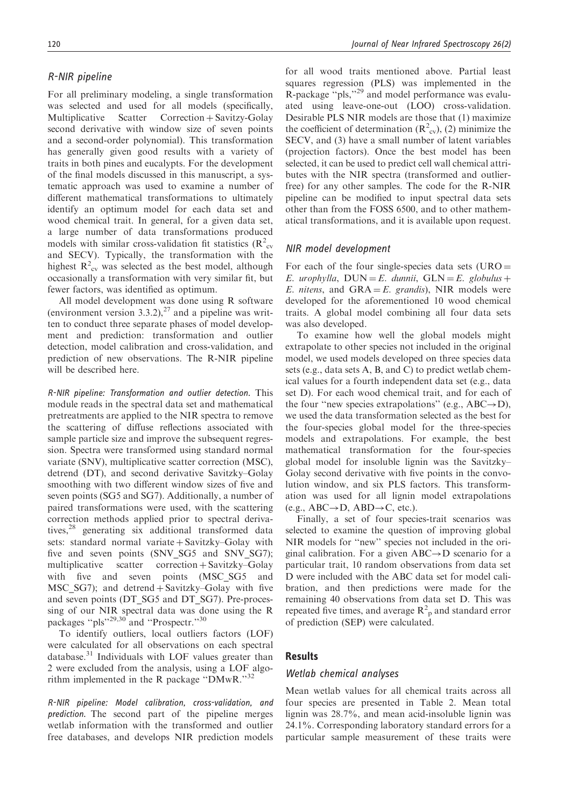### R-NIR pipeline

For all preliminary modeling, a single transformation was selected and used for all models (specifically, Multiplicative Scatter Correction + Savitzy-Golay second derivative with window size of seven points and a second-order polynomial). This transformation has generally given good results with a variety of traits in both pines and eucalypts. For the development of the final models discussed in this manuscript, a systematic approach was used to examine a number of different mathematical transformations to ultimately identify an optimum model for each data set and wood chemical trait. In general, for a given data set, a large number of data transformations produced models with similar cross-validation fit statistics ( $R_{\text{cv}}^2$ ) and SECV). Typically, the transformation with the highest  $R^2_{\text{cv}}$  was selected as the best model, although occasionally a transformation with very similar fit, but fewer factors, was identified as optimum.

All model development was done using R software (environment version  $3.3.2$ ),<sup>27</sup> and a pipeline was written to conduct three separate phases of model development and prediction: transformation and outlier detection, model calibration and cross-validation, and prediction of new observations. The R-NIR pipeline will be described here.

R-NIR pipeline: Transformation and outlier detection. This module reads in the spectral data set and mathematical pretreatments are applied to the NIR spectra to remove the scattering of diffuse reflections associated with sample particle size and improve the subsequent regression. Spectra were transformed using standard normal variate (SNV), multiplicative scatter correction (MSC), detrend (DT), and second derivative Savitzky–Golay smoothing with two different window sizes of five and seven points (SG5 and SG7). Additionally, a number of paired transformations were used, with the scattering correction methods applied prior to spectral derivatives,<sup>28</sup> generating six additional transformed data sets: standard normal variate  $+$  Savitzky–Golay with five and seven points (SNV\_SG5 and SNV\_SG7); multiplicative scatter correction + Savitzky–Golay with five and seven points (MSC\_SG5 and  $MSC_SG7$ ; and detrend + Savitzky–Golay with five and seven points (DT\_SG5 and DT\_SG7). Pre-processing of our NIR spectral data was done using the R packages ''pls''29,30 and ''Prospectr.''<sup>30</sup>

To identify outliers, local outliers factors (LOF) were calculated for all observations on each spectral database.31 Individuals with LOF values greater than 2 were excluded from the analysis, using a LOF algorithm implemented in the R package "DMwR."<sup>32</sup>

R-NIR pipeline: Model calibration, cross-validation, and prediction. The second part of the pipeline merges wetlab information with the transformed and outlier free databases, and develops NIR prediction models for all wood traits mentioned above. Partial least squares regression (PLS) was implemented in the R-package ''pls,''<sup>29</sup> and model performance was evaluated using leave-one-out (LOO) cross-validation. Desirable PLS NIR models are those that (1) maximize the coefficient of determination ( $R^2_{\text{cv}}$ ), (2) minimize the SECV, and (3) have a small number of latent variables (projection factors). Once the best model has been selected, it can be used to predict cell wall chemical attributes with the NIR spectra (transformed and outlierfree) for any other samples. The code for the R-NIR pipeline can be modified to input spectral data sets other than from the FOSS 6500, and to other mathematical transformations, and it is available upon request.

### NIR model development

For each of the four single-species data sets  $(URO =$ E. urophylla,  $DUN = E$ . dunnii,  $GLN = E$ . globulus + E. nitens, and GRA = E. grandis), NIR models were developed for the aforementioned 10 wood chemical traits. A global model combining all four data sets was also developed.

To examine how well the global models might extrapolate to other species not included in the original model, we used models developed on three species data sets (e.g., data sets A, B, and C) to predict wetlab chemical values for a fourth independent data set (e.g., data set D). For each wood chemical trait, and for each of the four "new species extrapolations" (e.g.,  $ABC \rightarrow D$ ), we used the data transformation selected as the best for the four-species global model for the three-species models and extrapolations. For example, the best mathematical transformation for the four-species global model for insoluble lignin was the Savitzky– Golay second derivative with five points in the convolution window, and six PLS factors. This transformation was used for all lignin model extrapolations (e.g.,  $ABC \rightarrow D$ ,  $ABD \rightarrow C$ , etc.).

Finally, a set of four species-trait scenarios was selected to examine the question of improving global NIR models for ''new'' species not included in the original calibration. For a given  $ABC \rightarrow D$  scenario for a particular trait, 10 random observations from data set D were included with the ABC data set for model calibration, and then predictions were made for the remaining 40 observations from data set D. This was repeated five times, and average  $R^2$ <sub>p</sub> and standard error of prediction (SEP) were calculated.

### Results

### Wetlab chemical analyses

Mean wetlab values for all chemical traits across all four species are presented in Table 2. Mean total lignin was 28.7%, and mean acid-insoluble lignin was 24.1%. Corresponding laboratory standard errors for a particular sample measurement of these traits were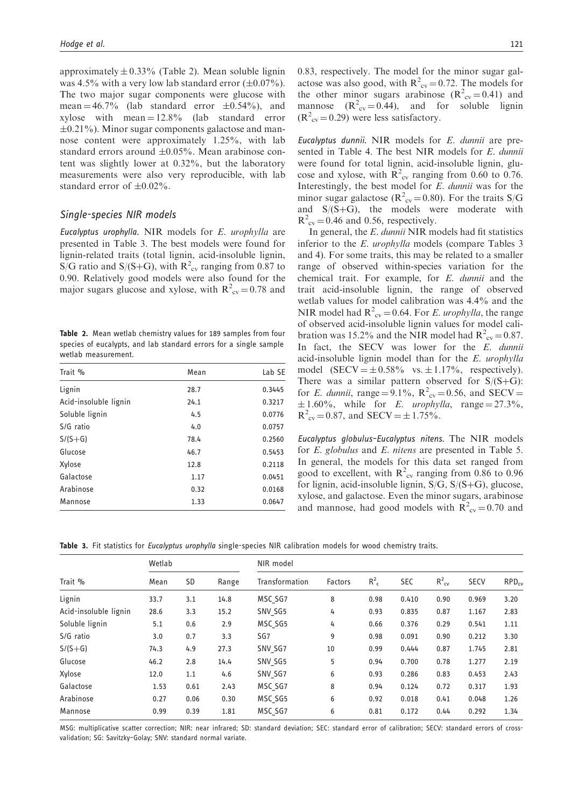approximately  $\pm$  0.33% (Table 2). Mean soluble lignin was 4.5% with a very low lab standard error  $(\pm 0.07\%)$ . The two major sugar components were glucose with mean  $=$  46.7% (lab standard error  $\pm$ 0.54%), and xylose with mean  $= 12.8\%$  (lab standard error  $\pm 0.21\%$ ). Minor sugar components galactose and mannose content were approximately 1.25%, with lab standard errors around  $\pm 0.05\%$ . Mean arabinose content was slightly lower at 0.32%, but the laboratory measurements were also very reproducible, with lab standard error of  $\pm 0.02\%$ .

### Single-species NIR models

Eucalyptus urophylla. NIR models for E. urophylla are presented in Table 3. The best models were found for lignin-related traits (total lignin, acid-insoluble lignin, S/G ratio and S/(S+G), with  $R^2_{\text{cv}}$  ranging from 0.87 to 0.90. Relatively good models were also found for the major sugars glucose and xylose, with  $R^2_{\text{cv}} = 0.78$  and

Table 2. Mean wetlab chemistry values for 189 samples from four species of eucalypts, and lab standard errors for a single sample wetlab measurement.

| Trait %               | Mean | Lab SE |
|-----------------------|------|--------|
| Lignin                | 28.7 | 0.3445 |
| Acid-insoluble lignin | 24.1 | 0.3217 |
| Soluble lignin        | 4.5  | 0.0776 |
| S/G ratio             | 4.0  | 0.0757 |
| $S/(S+G)$             | 78.4 | 0.2560 |
| Glucose               | 46.7 | 0.5453 |
| Xylose                | 12.8 | 0.2118 |
| Galactose             | 1.17 | 0.0451 |
| Arabinose             | 0.32 | 0.0168 |
| Mannose               | 1.33 | 0.0647 |

0.83, respectively. The model for the minor sugar galactose was also good, with  $R^2_{\text{cv}} = 0.72$ . The models for the other minor sugars arabinose  $(R_{cv}^2 = 0.41)$  and mannose  $(R^2_{\text{cv}}=0.44)$ , and for soluble lignin  $(R^{2}_{\text{cv}}=0.29)$  were less satisfactory.

Eucalyptus dunnii. NIR models for E. dunnii are presented in Table 4. The best NIR models for E. dunnii were found for total lignin, acid-insoluble lignin, glucose and xylose, with  $R^2_{\text{cv}}$  ranging from 0.60 to 0.76. Interestingly, the best model for E. dunnii was for the minor sugar galactose ( $R^2_{\text{cv}} = 0.80$ ). For the traits S/G and  $S/(S+G)$ , the models were moderate with  $R^2_{\text{cv}} = 0.46$  and 0.56, respectively.

In general, the E. dunnii NIR models had fit statistics inferior to the *E. urophylla* models (compare Tables 3) and 4). For some traits, this may be related to a smaller range of observed within-species variation for the chemical trait. For example, for E. dunnii and the trait acid-insoluble lignin, the range of observed wetlab values for model calibration was 4.4% and the NIR model had  $R^2_{\text{cv}} = 0.64$ . For *E. urophylla*, the range of observed acid-insoluble lignin values for model calibration was 15.2% and the NIR model had  $R^2_{\text{cv}} = 0.87$ . In fact, the SECV was lower for the E. dunnii acid-insoluble lignin model than for the E. urophylla model  $(SECV = \pm 0.58\%$  vs.  $\pm 1.17\%$ , respectively). There was a similar pattern observed for  $S/(S+G)$ : for *E. dunnii*, range =  $9.1\%$ ,  $R^2_{\text{cv}} = 0.56$ , and SECV =  $\pm 1.60\%$ , while for *E. urophylla*, range = 27.3%,  $R^2_{\text{cv}} = 0.87$ , and  $SECV = \pm 1.75\%$ .

Eucalyptus globulus–Eucalyptus nitens. The NIR models for E. globulus and E. nitens are presented in Table 5. In general, the models for this data set ranged from good to excellent, with  $R^2_{\text{cv}}$  ranging from 0.86 to 0.96 for lignin, acid-insoluble lignin,  $S/G$ ,  $S/(S+G)$ , glucose, xylose, and galactose. Even the minor sugars, arabinose and mannose, had good models with  $R^2_{\text{cv}} = 0.70$  and

Table 3. Fit statistics for Eucalyptus urophylla single-species NIR calibration models for wood chemistry traits.

| Trait %               | Wetlab |      |       | NIR model      |         |         |            |                   |             |            |  |  |
|-----------------------|--------|------|-------|----------------|---------|---------|------------|-------------------|-------------|------------|--|--|
|                       | Mean   | SD   | Range | Transformation | Factors | $R_c^2$ | <b>SEC</b> | $R_{\text{cv}}^2$ | <b>SECV</b> | $RPD_{cv}$ |  |  |
| Lignin                | 33.7   | 3.1  | 14.8  | MSC SG7        | 8       | 0.98    | 0.410      | 0.90              | 0.969       | 3.20       |  |  |
| Acid-insoluble lignin | 28.6   | 3.3  | 15.2  | SNV SG5        | 4       | 0.93    | 0.835      | 0.87              | 1.167       | 2.83       |  |  |
| Soluble lignin        | 5.1    | 0.6  | 2.9   | MSC SG5        | 4       | 0.66    | 0.376      | 0.29              | 0.541       | 1.11       |  |  |
| S/G ratio             | 3.0    | 0.7  | 3.3   | SG7            | 9       | 0.98    | 0.091      | 0.90              | 0.212       | 3.30       |  |  |
| $S/(S+G)$             | 74.3   | 4.9  | 27.3  | SNV SG7        | 10      | 0.99    | 0.444      | 0.87              | 1.745       | 2.81       |  |  |
| Glucose               | 46.2   | 2.8  | 14.4  | SNV SG5        | 5       | 0.94    | 0.700      | 0.78              | 1.277       | 2.19       |  |  |
| Xylose                | 12.0   | 1.1  | 4.6   | SNV SG7        | 6       | 0.93    | 0.286      | 0.83              | 0.453       | 2.43       |  |  |
| Galactose             | 1.53   | 0.61 | 2.43  | MSC SG7        | 8       | 0.94    | 0.124      | 0.72              | 0.317       | 1.93       |  |  |
| Arabinose             | 0.27   | 0.06 | 0.30  | MSC SG5        | 6       | 0.92    | 0.018      | 0.41              | 0.048       | 1.26       |  |  |
| Mannose               | 0.99   | 0.39 | 1.81  | MSC SG7        | 6       | 0.81    | 0.172      | 0.44              | 0.292       | 1.34       |  |  |

MSG: multiplicative scatter correction; NIR: near infrared; SD: standard deviation; SEC: standard error of calibration; SECV: standard errors of crossvalidation; SG: Savitzky–Golay; SNV: standard normal variate.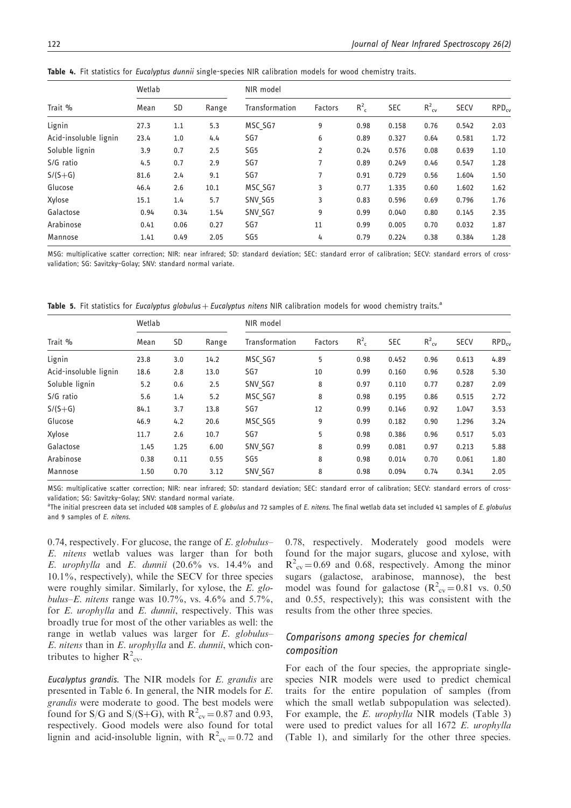| Trait %               | Wetlab |           |       | NIR model       |                |         |            |                   |             |            |  |  |
|-----------------------|--------|-----------|-------|-----------------|----------------|---------|------------|-------------------|-------------|------------|--|--|
|                       | Mean   | <b>SD</b> | Range | Transformation  | <b>Factors</b> | $R_c^2$ | <b>SEC</b> | $R_{\text{cv}}^2$ | <b>SECV</b> | $RPD_{cy}$ |  |  |
| Lignin                | 27.3   | 1.1       | 5.3   | MSC SG7         | 9              | 0.98    | 0.158      | 0.76              | 0.542       | 2.03       |  |  |
| Acid-insoluble lignin | 23.4   | 1.0       | 4.4   | SG7             | 6              | 0.89    | 0.327      | 0.64              | 0.581       | 1.72       |  |  |
| Soluble lignin        | 3.9    | 0.7       | 2.5   | SG <sub>5</sub> | 2              | 0.24    | 0.576      | 0.08              | 0.639       | 1.10       |  |  |
| S/G ratio             | 4.5    | 0.7       | 2.9   | SG7             | 7              | 0.89    | 0.249      | 0.46              | 0.547       | 1.28       |  |  |
| $S/(S+G)$             | 81.6   | 2.4       | 9.1   | SG7             | 7              | 0.91    | 0.729      | 0.56              | 1.604       | 1.50       |  |  |
| Glucose               | 46.4   | 2.6       | 10.1  | MSC SG7         | 3              | 0.77    | 1.335      | 0.60              | 1.602       | 1.62       |  |  |
| Xylose                | 15.1   | 1.4       | 5.7   | SNV SG5         | 3              | 0.83    | 0.596      | 0.69              | 0.796       | 1.76       |  |  |
| Galactose             | 0.94   | 0.34      | 1.54  | SNV SG7         | 9              | 0.99    | 0.040      | 0.80              | 0.145       | 2.35       |  |  |
| Arabinose             | 0.41   | 0.06      | 0.27  | SG7             | 11             | 0.99    | 0.005      | 0.70              | 0.032       | 1.87       |  |  |
| Mannose               | 1.41   | 0.49      | 2.05  | SG <sub>5</sub> | 4              | 0.79    | 0.224      | 0.38              | 0.384       | 1.28       |  |  |
|                       |        |           |       |                 |                |         |            |                   |             |            |  |  |

Table 4. Fit statistics for Eucalyptus dunnii single-species NIR calibration models for wood chemistry traits.

MSG: multiplicative scatter correction; NIR: near infrared; SD: standard deviation; SEC: standard error of calibration; SECV: standard errors of crossvalidation; SG: Savitzky–Golay; SNV: standard normal variate.

Table 5. Fit statistics for Eucalyptus globulus + Eucalyptus nitens NIR calibration models for wood chemistry traits.<sup>a</sup>

|                       | Wetlab |           |       | NIR model       |                |         |            |                   |             |            |  |  |
|-----------------------|--------|-----------|-------|-----------------|----------------|---------|------------|-------------------|-------------|------------|--|--|
| Trait %               | Mean   | <b>SD</b> | Range | Transformation  | <b>Factors</b> | $R_c^2$ | <b>SEC</b> | $R_{\text{cv}}^2$ | <b>SECV</b> | $RPD_{cv}$ |  |  |
| Lignin                | 23.8   | 3.0       | 14.2  | MSC SG7         | 5              | 0.98    | 0.452      | 0.96              | 0.613       | 4.89       |  |  |
| Acid-insoluble lignin | 18.6   | 2.8       | 13.0  | SG7             | 10             | 0.99    | 0.160      | 0.96              | 0.528       | 5.30       |  |  |
| Soluble lignin        | 5.2    | 0.6       | 2.5   | SNV SG7         | 8              | 0.97    | 0.110      | 0.77              | 0.287       | 2.09       |  |  |
| S/G ratio             | 5.6    | 1.4       | 5.2   | MSC SG7         | 8              | 0.98    | 0.195      | 0.86              | 0.515       | 2.72       |  |  |
| $S/(S+G)$             | 84.1   | 3.7       | 13.8  | SG7             | 12             | 0.99    | 0.146      | 0.92              | 1.047       | 3.53       |  |  |
| Glucose               | 46.9   | 4.2       | 20.6  | MSC SG5         | 9              | 0.99    | 0.182      | 0.90              | 1.296       | 3.24       |  |  |
| Xylose                | 11.7   | 2.6       | 10.7  | SG7             | 5              | 0.98    | 0.386      | 0.96              | 0.517       | 5.03       |  |  |
| Galactose             | 1.45   | 1.25      | 6.00  | SNV SG7         | 8              | 0.99    | 0.081      | 0.97              | 0.213       | 5.88       |  |  |
| Arabinose             | 0.38   | 0.11      | 0.55  | SG <sub>5</sub> | 8              | 0.98    | 0.014      | 0.70              | 0.061       | 1.80       |  |  |
| Mannose               | 1.50   | 0.70      | 3.12  | SNV SG7         | 8              | 0.98    | 0.094      | 0.74              | 0.341       | 2.05       |  |  |

MSG: multiplicative scatter correction; NIR: near infrared; SD: standard deviation; SEC: standard error of calibration; SECV: standard errors of crossvalidation; SG: Savitzky–Golay; SNV: standard normal variate.

a<br>The initial prescreen data set included 408 samples of *E. globulus* and 72 samples of *E. nitens*. The final wetlab data set included 41 samples of *E. globulus* and 9 samples of E. nitens.

0.74, respectively. For glucose, the range of  $E$ . globulus– E. nitens wetlab values was larger than for both E. urophylla and E. dunnii  $(20.6\%$  vs.  $14.4\%$  and 10.1%, respectively), while the SECV for three species were roughly similar. Similarly, for xylose, the E. globulus–E. nitens range was  $10.7\%$ , vs.  $4.6\%$  and  $5.7\%$ , for *E. urophylla* and *E. dunnii*, respectively. This was broadly true for most of the other variables as well: the range in wetlab values was larger for  $E$ . globulus-E. nitens than in E. urophylla and E. dunnii, which contributes to higher  $R^2_{\text{cv}}$ .

Eucalyptus grandis. The NIR models for E. grandis are presented in Table 6. In general, the NIR models for E. grandis were moderate to good. The best models were found for S/G and S/(S+G), with  $R^2_{\text{cv}} = 0.87$  and 0.93, respectively. Good models were also found for total lignin and acid-insoluble lignin, with  $R^2_{\text{cv}} = 0.72$  and

0.78, respectively. Moderately good models were found for the major sugars, glucose and xylose, with  $R^2_{\text{cv}} = 0.69$  and 0.68, respectively. Among the minor sugars (galactose, arabinose, mannose), the best model was found for galactose  $(R^2_{\text{cv}}=0.81 \text{ vs. } 0.50$ and 0.55, respectively); this was consistent with the results from the other three species.

# Comparisons among species for chemical composition

For each of the four species, the appropriate singlespecies NIR models were used to predict chemical traits for the entire population of samples (from which the small wetlab subpopulation was selected). For example, the E. urophylla NIR models (Table 3) were used to predict values for all 1672 E. urophylla (Table 1), and similarly for the other three species.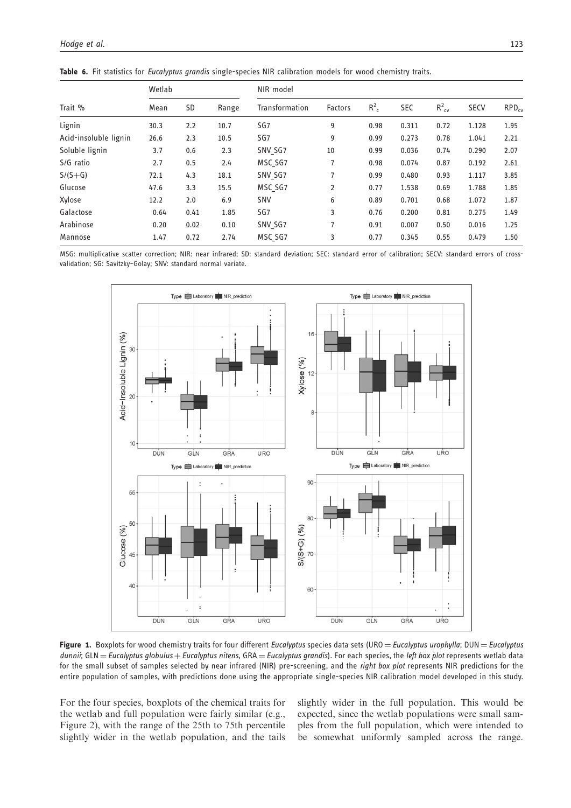| Trait %               | Wetlab |      |       | NIR model       |                |         |            |                   |             |            |  |  |
|-----------------------|--------|------|-------|-----------------|----------------|---------|------------|-------------------|-------------|------------|--|--|
|                       | Mean   | SD   | Range | Transformation  | Factors        | $R_c^2$ | <b>SEC</b> | $R^2_{\text{cv}}$ | <b>SECV</b> | $RPD_{cy}$ |  |  |
| Lignin                | 30.3   | 2.2  | 10.7  | SG7             | 9              | 0.98    | 0.311      | 0.72              | 1.128       | 1.95       |  |  |
| Acid-insoluble lignin | 26.6   | 2.3  | 10.5  | SG <sub>7</sub> | 9              | 0.99    | 0.273      | 0.78              | 1.041       | 2.21       |  |  |
| Soluble lignin        | 3.7    | 0.6  | 2.3   | SNV SG7         | 10             | 0.99    | 0.036      | 0.74              | 0.290       | 2.07       |  |  |
| S/G ratio             | 2.7    | 0.5  | 2.4   | MSC SG7         | 7              | 0.98    | 0.074      | 0.87              | 0.192       | 2.61       |  |  |
| $S/(S+G)$             | 72.1   | 4.3  | 18.1  | SNV SG7         | 7              | 0.99    | 0.480      | 0.93              | 1.117       | 3.85       |  |  |
| Glucose               | 47.6   | 3.3  | 15.5  | MSC SG7         | 2              | 0.77    | 1.538      | 0.69              | 1.788       | 1.85       |  |  |
| Xylose                | 12.2   | 2.0  | 6.9   | <b>SNV</b>      | 6              | 0.89    | 0.701      | 0.68              | 1.072       | 1.87       |  |  |
| Galactose             | 0.64   | 0.41 | 1.85  | SG <sub>7</sub> | 3              | 0.76    | 0.200      | 0.81              | 0.275       | 1.49       |  |  |
| Arabinose             | 0.20   | 0.02 | 0.10  | SNV SG7         | $\overline{7}$ | 0.91    | 0.007      | 0.50              | 0.016       | 1.25       |  |  |
| Mannose               | 1.47   | 0.72 | 2.74  | MSC SG7         | 3              | 0.77    | 0.345      | 0.55              | 0.479       | 1.50       |  |  |

Table 6. Fit statistics for Eucalyptus grandis single-species NIR calibration models for wood chemistry traits.

MSG: multiplicative scatter correction; NIR: near infrared; SD: standard deviation; SEC: standard error of calibration; SECV: standard errors of crossvalidation; SG: Savitzky–Golay; SNV: standard normal variate.



Figure 1. Boxplots for wood chemistry traits for four different Eucalyptus species data sets (URO = Eucalyptus urophylla; DUN = Eucalyptus dunnii; GLN = Eucalyptus globulus + Eucalyptus nitens, GRA = Eucalyptus grandis). For each species, the left box plot represents wetlab data for the small subset of samples selected by near infrared (NIR) pre-screening, and the right box plot represents NIR predictions for the entire population of samples, with predictions done using the appropriate single-species NIR calibration model developed in this study.

For the four species, boxplots of the chemical traits for the wetlab and full population were fairly similar (e.g., Figure 2), with the range of the 25th to 75th percentile slightly wider in the wetlab population, and the tails slightly wider in the full population. This would be expected, since the wetlab populations were small samples from the full population, which were intended to be somewhat uniformly sampled across the range.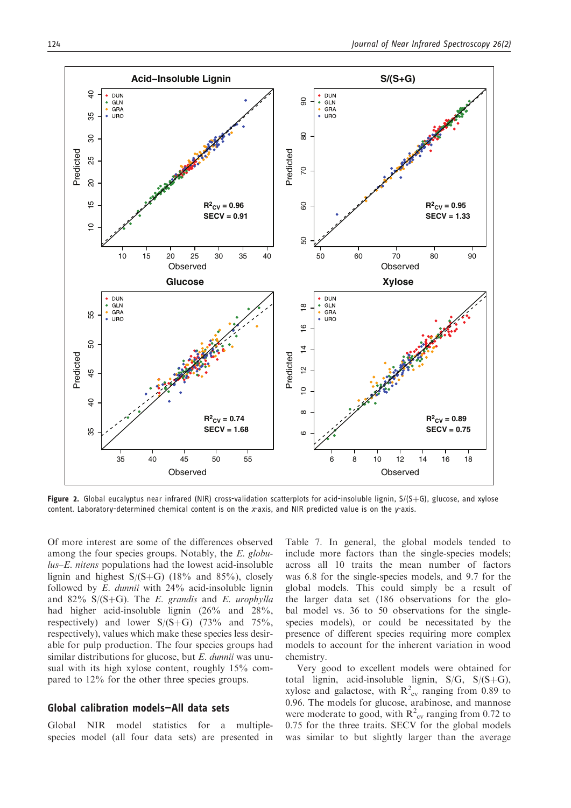

Figure 2. Global eucalyptus near infrared (NIR) cross-validation scatterplots for acid-insoluble lignin,  $S/(S+G)$ , glucose, and xylose content. Laboratory-determined chemical content is on the x-axis, and NIR predicted value is on the y-axis.

Of more interest are some of the differences observed among the four species groups. Notably, the E. globu $lus-E$ . nitens populations had the lowest acid-insoluble lignin and highest  $S/(S+G)$  (18% and 85%), closely followed by  $E$ . dunnii with  $24\%$  acid-insoluble lignin and 82%  $S/(S+G)$ . The *E. grandis* and *E. urophylla* had higher acid-insoluble lignin (26% and 28%, respectively) and lower  $S/(S+G)$  (73% and 75%, respectively), values which make these species less desirable for pulp production. The four species groups had similar distributions for glucose, but E. dunnii was unusual with its high xylose content, roughly 15% compared to 12% for the other three species groups.

# Global calibration models—All data sets

Global NIR model statistics for a multiplespecies model (all four data sets) are presented in

Table 7. In general, the global models tended to include more factors than the single-species models; across all 10 traits the mean number of factors was 6.8 for the single-species models, and 9.7 for the global models. This could simply be a result of the larger data set (186 observations for the global model vs. 36 to 50 observations for the singlespecies models), or could be necessitated by the presence of different species requiring more complex models to account for the inherent variation in wood chemistry.

Very good to excellent models were obtained for total lignin, acid-insoluble lignin,  $S/G$ ,  $S/(S+G)$ , xylose and galactose, with  $R_{\text{cv}}^2$  ranging from 0.89 to 0.96. The models for glucose, arabinose, and mannose were moderate to good, with  $R_{\text{cv}}^2$  ranging from 0.72 to 0.75 for the three traits. SECV for the global models was similar to but slightly larger than the average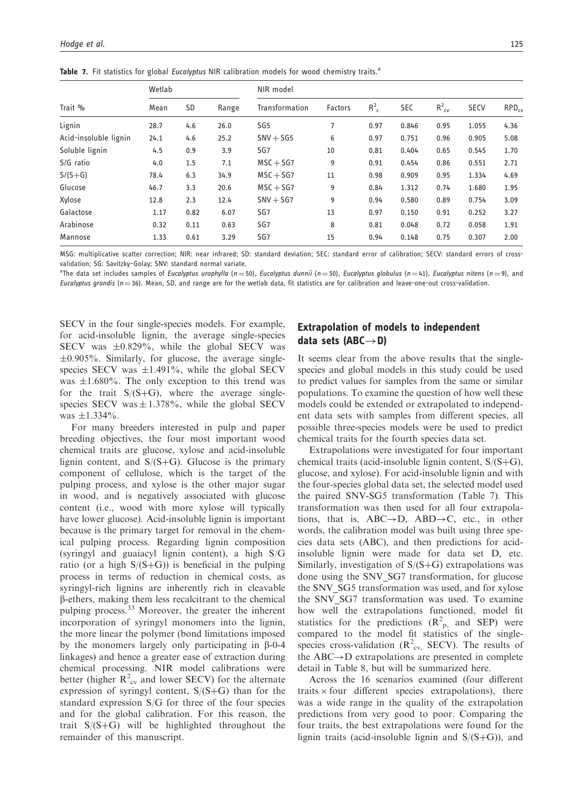|  | Table 7. Fit statistics for global Eucalyptus NIR calibration models for wood chemistry traits. <sup>a</sup> |  |  |  |  |  |
|--|--------------------------------------------------------------------------------------------------------------|--|--|--|--|--|
|  |                                                                                                              |  |  |  |  |  |

|                       | Wetlab |      |       | NIR model       |                |         |            |                   |             |            |  |  |
|-----------------------|--------|------|-------|-----------------|----------------|---------|------------|-------------------|-------------|------------|--|--|
| Trait %               | Mean   | SD   | Range | Transformation  | <b>Factors</b> | $R_c^2$ | <b>SEC</b> | $R_{\text{cv}}^2$ | <b>SECV</b> | $RPD_{cv}$ |  |  |
| Lignin                | 28.7   | 4.6  | 26.0  | SG <sub>5</sub> | 7              | 0.97    | 0.846      | 0.95              | 1.055       | 4.36       |  |  |
| Acid-insoluble lignin | 24.1   | 4.6  | 25.2  | $SNV + SG5$     | 6              | 0.97    | 0.751      | 0.96              | 0.905       | 5.08       |  |  |
| Soluble lignin        | 4.5    | 0.9  | 3.9   | SG7             | 10             | 0.81    | 0.404      | 0.65              | 0.545       | 1.70       |  |  |
| S/G ratio             | 4.0    | 1.5  | 7.1   | $MSC + SG7$     | 9              | 0.91    | 0.454      | 0.86              | 0.551       | 2.71       |  |  |
| $S/(S+G)$             | 78.4   | 6.3  | 34.9  | $MSC + SG7$     | 11             | 0.98    | 0.909      | 0.95              | 1.334       | 4.69       |  |  |
| Glucose               | 46.7   | 3.3  | 20.6  | $MSC + SG7$     | 9              | 0.84    | 1.312      | 0.74              | 1.680       | 1.95       |  |  |
| Xylose                | 12.8   | 2.3  | 12.4  | $SNV + SG7$     | 9              | 0.94    | 0.580      | 0.89              | 0.754       | 3.09       |  |  |
| Galactose             | 1.17   | 0.82 | 6.07  | SG7             | 13             | 0.97    | 0.150      | 0.91              | 0.252       | 3.27       |  |  |
| Arabinose             | 0.32   | 0.11 | 0.63  | SG7             | 8              | 0.81    | 0.048      | 0.72              | 0.058       | 1.91       |  |  |
| Mannose               | 1.33   | 0.61 | 3.29  | SG7             | 15             | 0.94    | 0.148      | 0.75              | 0.307       | 2.00       |  |  |

MSG: multiplicative scatter correction; NIR: near infrared; SD: standard deviation; SEC: standard error of calibration; SECV: standard errors of crossvalidation; SG: Savitzky–Golay; SNV: standard normal variate.

<sup>a</sup>The data set includes samples of *Eucalyptus urophylla* (n=50), *Eucalyptus dunnii (n*=50), *Eucalyptus globulus (n=41), Eucalyptus nitens (n=9), and* Eucalyptus grandis ( $n = 36$ ). Mean, SD, and range are for the wetlab data, fit statistics are for calibration and leave-one-out cross-validation.

SECV in the four single-species models. For example, for acid-insoluble lignin, the average single-species SECV was  $\pm 0.829\%$ , while the global SECV was  $\pm 0.905\%$ . Similarly, for glucose, the average singlespecies SECV was  $\pm 1.491\%$ , while the global SECV was  $\pm 1.680\%$ . The only exception to this trend was for the trait  $S/(S+G)$ , where the average singlespecies SECV was  $\pm$  1.378%, while the global SECV was  $\pm 1.334\%$ .

For many breeders interested in pulp and paper breeding objectives, the four most important wood chemical traits are glucose, xylose and acid-insoluble lignin content, and  $S/(S+G)$ . Glucose is the primary component of cellulose, which is the target of the pulping process, and xylose is the other major sugar in wood, and is negatively associated with glucose content (i.e., wood with more xylose will typically have lower glucose). Acid-insoluble lignin is important because is the primary target for removal in the chemical pulping process. Regarding lignin composition (syringyl and guaiacyl lignin content), a high S/G ratio (or a high  $S/(S+G)$ ) is beneficial in the pulping process in terms of reduction in chemical costs, as syringyl-rich lignins are inherently rich in cleavable b-ethers, making them less recalcitrant to the chemical pulping process.<sup>33</sup> Moreover, the greater the inherent incorporation of syringyl monomers into the lignin, the more linear the polymer (bond limitations imposed by the monomers largely only participating in  $\beta$ -0-4 linkages) and hence a greater ease of extraction during chemical processing. NIR model calibrations were better (higher  $R_{cv}^2$  and lower SECV) for the alternate expression of syringyl content,  $S/(S+G)$  than for the standard expression S/G for three of the four species and for the global calibration. For this reason, the trait  $S/(S+G)$  will be highlighted throughout the remainder of this manuscript.

# Extrapolation of models to independent data sets (ABC $\rightarrow$ D)

It seems clear from the above results that the singlespecies and global models in this study could be used to predict values for samples from the same or similar populations. To examine the question of how well these models could be extended or extrapolated to independent data sets with samples from different species, all possible three-species models were be used to predict chemical traits for the fourth species data set.

Extrapolations were investigated for four important chemical traits (acid-insoluble lignin content,  $S/(S+G)$ , glucose, and xylose). For acid-insoluble lignin and with the four-species global data set, the selected model used the paired SNV-SG5 transformation (Table 7). This transformation was then used for all four extrapolations, that is,  $ABC \rightarrow D$ ,  $ABD \rightarrow C$ , etc., in other words, the calibration model was built using three species data sets (ABC), and then predictions for acidinsoluble lignin were made for data set D, etc. Similarly, investigation of  $S/(S+G)$  extrapolations was done using the SNV\_SG7 transformation, for glucose the SNV\_SG5 transformation was used, and for xylose the SNV SG7 transformation was used. To examine how well the extrapolations functioned, model fit statistics for the predictions  $(R_{p}^{2})$ , and SEP) were compared to the model fit statistics of the singlespecies cross-validation  $(R^2_{\text{cv}}$ , SECV). The results of the  $ABC \rightarrow D$  extrapolations are presented in complete detail in Table 8, but will be summarized here.

Across the 16 scenarios examined (four different traits  $\times$  four different species extrapolations), there was a wide range in the quality of the extrapolation predictions from very good to poor. Comparing the four traits, the best extrapolations were found for the lignin traits (acid-insoluble lignin and  $S/(S+G)$ ), and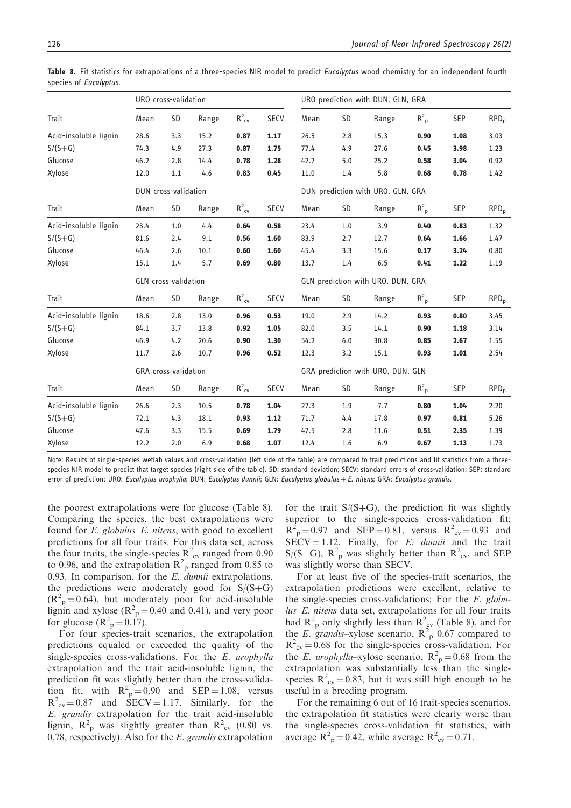|                       | URO cross-validation |     |       |                   |             | URO prediction with DUN, GLN, GRA |           |                                   |             |              |                  |
|-----------------------|----------------------|-----|-------|-------------------|-------------|-----------------------------------|-----------|-----------------------------------|-------------|--------------|------------------|
| Trait                 | Mean                 | SD  | Range | $R^2_{\text{cv}}$ | <b>SECV</b> | Mean                              | <b>SD</b> | Range                             | $R_{p}^{2}$ | <b>SEP</b>   | RPD <sub>p</sub> |
| Acid-insoluble lignin | 28.6                 | 3.3 | 15.2  | 0.87              | 1.17        | 26.5                              | 2.8       | 15.3                              | 0.90        | 1.08         | 3.03             |
| $S/(S+G)$             | 74.3                 | 4.9 | 27.3  | 0.87              | 1.75        | 77.4                              | 4.9       | 27.6                              | 0.45        | 3.98         | 1.23             |
| Glucose               | 46.2                 | 2.8 | 14.4  | 0.78              | 1.28        | 42.7                              | 5.0       | 25.2                              | 0.58        | 3.04         | 0.92             |
| Xylose                | 12.0                 | 1.1 | 4.6   | 0.83              | 0.45        | 11.0                              | 1.4       | 5.8                               | 0.68        | 0.78         | 1.42             |
|                       | DUN cross-validation |     |       |                   |             |                                   |           | DUN prediction with URO, GLN, GRA |             |              |                  |
| <b>Trait</b>          | Mean                 | SD  | Range | $R^2_{\text{cv}}$ | <b>SECV</b> | Mean                              | SD        | Range                             | $R_{p}^{2}$ | <b>SEP</b>   | $RPD_{p}$        |
| Acid-insoluble lignin | 23.4                 | 1.0 | 4.4   | 0.64              | 0.58        | 23.4                              | 1.0       | 3.9                               | 0.40        | 0.83         | 1.32             |
| $S/(S+G)$             | 81.6                 | 2.4 | 9.1   | 0.56<br>0.60      | 1.60        | 83.9<br>45.4                      | 2.7       | 12.7                              | 0.64        | 1.66<br>3.24 | 1.47             |
| Glucose               | 46.4                 | 2.6 | 10.1  |                   | 1.60        |                                   | 3.3       | 15.6                              | 0.17        |              | 0.80             |
| Xylose                | 15.1                 | 1.4 | 5.7   | 0.69              | 0.80        | 13.7                              | 1.4       | 6.5                               | 0.41        | 1.22         | 1.19             |
|                       | GLN cross-validation |     |       |                   |             |                                   |           | GLN prediction with URO, DUN, GRA |             |              |                  |
| <b>Trait</b>          | Mean                 | SD  | Range | $R^2_{\text{cv}}$ | <b>SECV</b> | Mean                              | <b>SD</b> | Range                             | $R_{p}^{2}$ | <b>SEP</b>   | RPD <sub>p</sub> |
| Acid-insoluble lignin | 18.6                 | 2.8 | 13.0  | 0.96              | 0.53        | 19.0                              | 2.9       | 14.2                              | 0.93        | 0.80         | 3.45             |
| $S/(S+G)$             | 84.1                 | 3.7 | 13.8  | 0.92              | 1.05        | 82.0                              | 3.5       | 14.1                              | 0.90        | 1.18         | 3.14             |
| Glucose               | 46.9                 | 4.2 | 20.6  | 0.90              | 1.30        | 54.2                              | 6.0       | 30.8                              | 0.85        | 2.67         | 1.55             |
| Xylose                | 11.7                 | 2.6 | 10.7  | 0.96              | 0.52        | 12.3                              | 3.2       | 15.1                              | 0.93        | 1.01         | 2.54             |
|                       | GRA cross-validation |     |       |                   |             |                                   |           | GRA prediction with URO, DUN, GLN |             |              |                  |
| Trait                 | Mean                 | SD  | Range | $R^2_{\text{cv}}$ | <b>SECV</b> | Mean                              | SD        | Range                             | $R_{p}^{2}$ | <b>SEP</b>   | RPD <sub>p</sub> |
| Acid-insoluble lignin | 26.6                 | 2.3 | 10.5  | 0.78              | 1.04        | 27.3                              | 1.9       | 7.7                               | 0.80        | 1.04         | 2.20             |
| $S/(S+G)$             | 72.1                 | 4.3 | 18.1  | 0.93              | 1.12        | 71.7                              | 4.4       | 17.8                              | 0.97        | 0.81         | 5.26             |
| Glucose               | 47.6                 | 3.3 | 15.5  | 0.69              | 1.79        | 47.5                              | 2.8       | 11.6                              | 0.51        | 2.35         | 1.39             |
| Xylose                | 12.2                 | 2.0 | 6.9   | 0.68              | 1.07        | 12.4                              | 1.6       | 6.9                               | 0.67        | 1.13         | 1.73             |

Table 8. Fit statistics for extrapolations of a three-species NIR model to predict Eucalyptus wood chemistry for an independent fourth species of Eucalyptus.

Note: Results of single-species wetlab values and cross-validation (left side of the table) are compared to trait predictions and fit statistics from a threespecies NIR model to predict that target species (right side of the table). SD: standard deviation; SECV: standard errors of cross-validation; SEP: standard error of prediction; URO: Eucalyptus urophylla; DUN: Eucalyptus dunnii; GLN: Eucalyptus globulus + E. nitens; GRA: Eucalyptus grandis.

the poorest extrapolations were for glucose (Table 8). Comparing the species, the best extrapolations were found for E. globulus–E. nitens, with good to excellent predictions for all four traits. For this data set, across the four traits, the single-species  $R^2_{\text{cv}}$  ranged from 0.90 to 0.96, and the extrapolation  $R^2$ <sub>p</sub> ranged from 0.85 to 0.93. In comparison, for the  $E$ . dunnii extrapolations, the predictions were moderately good for  $S/(S+G)$  $(R<sup>2</sup><sub>p</sub> = 0.64)$ , but moderately poor for acid-insoluble lignin and xylose ( $R^2$ <sub>p</sub> = 0.40 and 0.41), and very poor for glucose  $(R<sup>2</sup><sub>p</sub> = 0.17)$ .

For four species-trait scenarios, the extrapolation predictions equaled or exceeded the quality of the single-species cross-validations. For the E. urophylla extrapolation and the trait acid-insoluble lignin, the prediction fit was slightly better than the cross-validation fit, with  $R^2 = 0.90$  and SEP = 1.08, versus  $R^2_{\text{cv}} = 0.87$  and  $\text{SECV} = 1.17$ . Similarly, for the E. grandis extrapolation for the trait acid-insoluble lignin,  $R_{p}^{2}$  was slightly greater than  $R_{\text{cv}}^{2}$  (0.80 vs. 0.78, respectively). Also for the  $E$ . grandis extrapolation

for the trait  $S/(S+G)$ , the prediction fit was slightly superior to the single-species cross-validation fit:  $R^{2}_{p} = 0.97$  and  $SEP = 0.81$ , versus  $R^{2}_{cy} = 0.93$  and  $SECV = 1.12$ . Finally, for E. dunnii and the trait  $S/(S+G)$ ,  $R^2$ <sub>p</sub> was slightly better than  $R^2$ <sub>cv</sub>, and SEP was slightly worse than SECV.

For at least five of the species-trait scenarios, the extrapolation predictions were excellent, relative to the single-species cross-validations: For the E. globulus–E. nitens data set, extrapolations for all four traits had  $R^2$ <sub>p</sub> only slightly less than  $R^2$ <sub>cv</sub> (Table 8), and for the E. grandis-xylose scenario,  $R^{2}_{p}$  0.67 compared to  $R^2_{\text{cv}} = 0.68$  for the single-species cross-validation. For the *E. urophylla*-xylose scenario,  $R^2$ <sub>p</sub> = 0.68 from the extrapolation was substantially less than the singlespecies  $R^2_{\text{cv}} = 0.83$ , but it was still high enough to be useful in a breeding program.

For the remaining 6 out of 16 trait-species scenarios, the extrapolation fit statistics were clearly worse than the single-species cross-validation fit statistics, with average  $\overline{R}_{p}^{2} = 0.42$ , while average  $\overline{R}_{cv}^{2} = 0.71$ .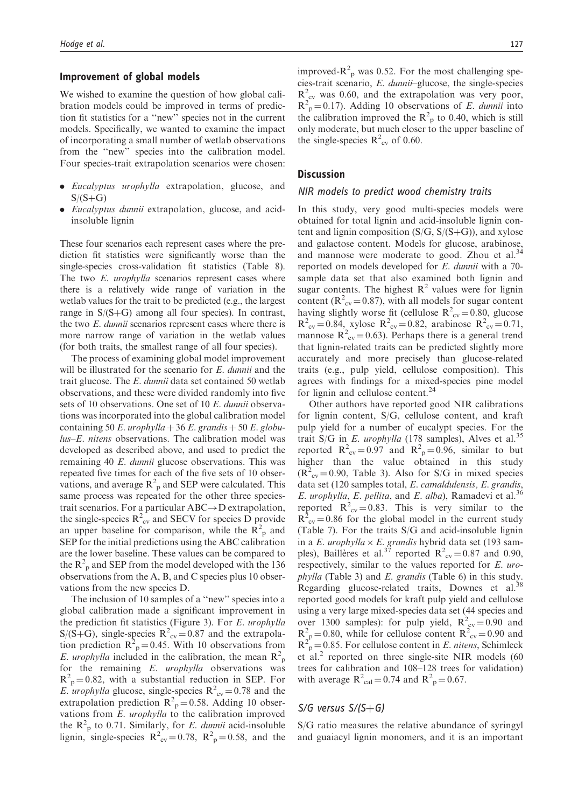# Improvement of global models

We wished to examine the question of how global calibration models could be improved in terms of prediction fit statistics for a ''new'' species not in the current models. Specifically, we wanted to examine the impact of incorporating a small number of wetlab observations from the ''new'' species into the calibration model. Four species-trait extrapolation scenarios were chosen:

- . Eucalyptus urophylla extrapolation, glucose, and  $S/(S+G)$
- . Eucalyptus dunnii extrapolation, glucose, and acidinsoluble lignin

These four scenarios each represent cases where the prediction fit statistics were significantly worse than the single-species cross-validation fit statistics (Table 8). The two E. *urophylla* scenarios represent cases where there is a relatively wide range of variation in the wetlab values for the trait to be predicted (e.g., the largest range in  $S/(S+G)$  among all four species). In contrast, the two E. dunnii scenarios represent cases where there is more narrow range of variation in the wetlab values (for both traits, the smallest range of all four species).

The process of examining global model improvement will be illustrated for the scenario for E. dunnii and the trait glucose. The E. dunnii data set contained 50 wetlab observations, and these were divided randomly into five sets of 10 observations. One set of 10 E. dunnii observations was incorporated into the global calibration model containing 50 E. urophylla + 36 E. grandis + 50 E. globu $lus-E$ . nitens observations. The calibration model was developed as described above, and used to predict the remaining 40 E. dunnii glucose observations. This was repeated five times for each of the five sets of 10 observations, and average  $R^2$ <sub>p</sub> and SEP were calculated. This same process was repeated for the other three speciestrait scenarios. For a particular  $ABC \rightarrow D$  extrapolation, the single-species  $R_{cv}^2$  and SECV for species D provide an upper baseline for comparison, while the  $\mathbb{R}^2$ <sub>p</sub> and SEP for the initial predictions using the ABC calibration are the lower baseline. These values can be compared to the  $R^2$ <sub>p</sub> and SEP from the model developed with the 136 observations from the A, B, and C species plus 10 observations from the new species D.

The inclusion of 10 samples of a ''new'' species into a global calibration made a significant improvement in the prediction fit statistics (Figure 3). For E. urophylla  $S/(S+G)$ , single-species  $R^2_{\text{cv}} = 0.87$  and the extrapolation prediction  $R^2$ <sub>p</sub> = 0.45. With 10 observations from E. urophylla included in the calibration, the mean  $\mathbb{R}^2$ for the remaining E. urophylla observations was  $R^2$ <sub>p</sub>=0.82, with a substantial reduction in SEP. For E. *urophylla* glucose, single-species  $R_{cv}^2 = 0.78$  and the extrapolation prediction  $R^2$ <sub>p</sub> = 0.58. Adding 10 observations from E. urophylla to the calibration improved the  $R^2$ <sub>p</sub> to 0.71. Similarly, for *E. dunnii* acid-insoluble lignin, single-species  $R^2_{\text{cv}} = 0.78$ ,  $R^2_{\text{p}} = 0.58$ , and the

improved- $R<sup>2</sup><sub>p</sub>$  was 0.52. For the most challenging species-trait scenario, E. dunnii–glucose, the single-species  $R_{\text{cv}}^2$  was 0.60, and the extrapolation was very poor,  $R^2$ <sub>p</sub>=0.17). Adding 10 observations of *E. dunnii* into the calibration improved the  $R^2$ <sub>p</sub> to 0.40, which is still only moderate, but much closer to the upper baseline of the single-species  $R^2_{\text{cv}}$  of 0.60.

### **Discussion**

### NIR models to predict wood chemistry traits

In this study, very good multi-species models were obtained for total lignin and acid-insoluble lignin content and lignin composition  $(S/G, S/(S+G))$ , and xylose and galactose content. Models for glucose, arabinose, and mannose were moderate to good. Zhou et al.<sup>34</sup> reported on models developed for E. dunnii with a 70 sample data set that also examined both lignin and sugar contents. The highest  $R^2$  values were for lignin content ( $R^2_{\text{cv}}$  = 0.87), with all models for sugar content having slightly worse fit (cellulose  $R^2_{\text{cv}} = 0.80$ , glucose  $R^2_{\text{cv}} = 0.84$ , xylose  $R^2_{\text{cv}} = 0.82$ , arabinose  $R^2_{\text{cv}} = 0.71$ , mannose  $R^2_{\text{cv}} = 0.63$ ). Perhaps there is a general trend that lignin-related traits can be predicted slightly more accurately and more precisely than glucose-related traits (e.g., pulp yield, cellulose composition). This agrees with findings for a mixed-species pine model for lignin and cellulose content.<sup>24</sup>

Other authors have reported good NIR calibrations for lignin content, S/G, cellulose content, and kraft pulp yield for a number of eucalypt species. For the trait S/G in E. *urophylla* (178 samples), Alves et al.<sup>35</sup> reported  $R^2_{\text{cv}} = 0.97$  and  $R^2_{\text{p}} = 0.96$ , similar to but higher than the value obtained in this study  $(R^{2}_{\text{cv}}=0.90, \text{ Table 3}).$  Also for S/G in mixed species data set (120 samples total, E. camaldulensis, E. grandis, E. urophylla, E. pellita, and E. alba), Ramadevi et al.<sup>36</sup> reported  $R^2_{\text{cv}} = 0.83$ . This is very similar to the  $R^{2}_{\text{cv}} = 0.86$  for the global model in the current study (Table 7). For the traits S/G and acid-insoluble lignin in a E. urophylla  $\times$  E. grandis hybrid data set (193 samples), Baillères et al.<sup>37</sup> reported  $R_{\text{cv}}^2 = 0.87$  and 0.90, respectively, similar to the values reported for E. urophylla (Table 3) and E. grandis (Table 6) in this study. Regarding glucose-related traits, Downes et al.<sup>38</sup> reported good models for kraft pulp yield and cellulose using a very large mixed-species data set (44 species and over 1300 samples): for pulp yield,  $R^{2}_{\text{cv}} = 0.90$  and  $R_{p}^{2} = 0.80$ , while for cellulose content  $R_{\text{cv}}^{2} = 0.90$  and  $R^{2}$ <sup>r</sup> = 0.85. For cellulose content in *E. nitens*, Schimleck et al.<sup>2</sup> reported on three single-site NIR models  $(60$ trees for calibration and 108–128 trees for validation) with average  $R^2_{cal} = 0.74$  and  $R^2_{p} = 0.67$ .

## S/G versus  $S/(S+G)$

S/G ratio measures the relative abundance of syringyl and guaiacyl lignin monomers, and it is an important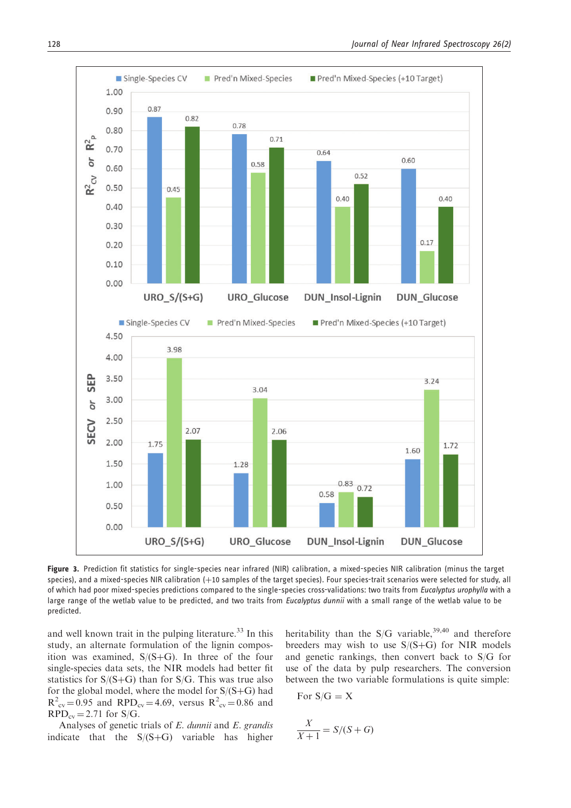

Figure 3. Prediction fit statistics for single-species near infrared (NIR) calibration, a mixed-species NIR calibration (minus the target species), and a mixed-species NIR calibration  $(+10$  samples of the target species). Four species-trait scenarios were selected for study, all of which had poor mixed-species predictions compared to the single-species cross-validations: two traits from *Eucalyptus urophylla* with a large range of the wetlab value to be predicted, and two traits from Eucalyptus dunnii with a small range of the wetlab value to be predicted.

and well known trait in the pulping literature.<sup>33</sup> In this study, an alternate formulation of the lignin composition was examined,  $S/(S+G)$ . In three of the four single-species data sets, the NIR models had better fit statistics for  $S/(S+G)$  than for  $S/G$ . This was true also for the global model, where the model for  $S/(S+G)$  had  $R^2_{\text{cv}} = 0.95$  and  $RPD_{\text{cv}} = 4.69$ , versus  $R^2_{\text{cv}} = 0.86$  and  $RPD_{\text{cv}} = 2.71$  for S/G.

Analyses of genetic trials of E. dunnii and E. grandis indicate that the  $S/(S+G)$  variable has higher heritability than the  $S/G$  variable,<sup>39,40</sup> and therefore breeders may wish to use  $S/(S+G)$  for NIR models and genetic rankings, then convert back to S/G for use of the data by pulp researchers. The conversion between the two variable formulations is quite simple:

For 
$$
S/G = X
$$

$$
\frac{X}{X+1} = S/(S+G)
$$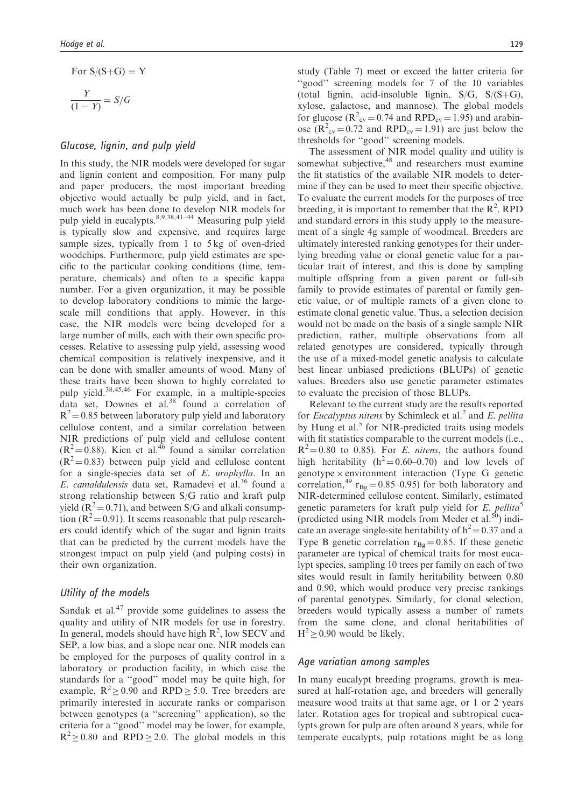For S/(S+G) = Y  
\n
$$
\frac{Y}{(1-Y)} = S/G
$$

### Glucose, lignin, and pulp yield

In this study, the NIR models were developed for sugar and lignin content and composition. For many pulp and paper producers, the most important breeding objective would actually be pulp yield, and in fact, much work has been done to develop NIR models for pulp yield in eucalypts.8,9,38,41–44 Measuring pulp yield is typically slow and expensive, and requires large sample sizes, typically from 1 to 5 kg of oven-dried woodchips. Furthermore, pulp yield estimates are specific to the particular cooking conditions (time, temperature, chemicals) and often to a specific kappa number. For a given organization, it may be possible to develop laboratory conditions to mimic the largescale mill conditions that apply. However, in this case, the NIR models were being developed for a large number of mills, each with their own specific processes. Relative to assessing pulp yield, assessing wood chemical composition is relatively inexpensive, and it can be done with smaller amounts of wood. Many of these traits have been shown to highly correlated to pulp yield.38,45,46 For example, in a multiple-species data set, Downes et al. $38$  found a correlation of  $R^2$  = 0.85 between laboratory pulp yield and laboratory cellulose content, and a similar correlation between NIR predictions of pulp yield and cellulose content  $(R^2 = 0.88)$ . Kien et al.<sup>46</sup> found a similar correlation  $(R^2 = 0.83)$  between pulp yield and cellulose content for a single-species data set of E. urophylla. In an E. camaldulensis data set, Ramadevi et al.<sup>36</sup> found a strong relationship between S/G ratio and kraft pulp yield  $(R^2 = 0.71)$ , and between S/G and alkali consumption ( $R^2$  = 0.91). It seems reasonable that pulp researchers could identify which of the sugar and lignin traits that can be predicted by the current models have the strongest impact on pulp yield (and pulping costs) in their own organization.

# Utility of the models

Sandak et al. $47$  provide some guidelines to assess the quality and utility of NIR models for use in forestry. In general, models should have high  $R^2$ , low SECV and SEP, a low bias, and a slope near one. NIR models can be employed for the purposes of quality control in a laboratory or production facility, in which case the standards for a ''good'' model may be quite high, for example,  $R^2 \ge 0.90$  and RPD  $\ge 5.0$ . Tree breeders are primarily interested in accurate ranks or comparison between genotypes (a ''screening'' application), so the criteria for a ''good'' model may be lower, for example,  $R^2 \ge 0.80$  and RPD  $\ge 2.0$ . The global models in this

study (Table 7) meet or exceed the latter criteria for ''good'' screening models for 7 of the 10 variables (total lignin, acid-insoluble lignin,  $S/G$ ,  $S/(S+G)$ , xylose, galactose, and mannose). The global models for glucose ( $R^2_{\text{cv}} = 0.74$  and  $RPD_{\text{cv}} = 1.95$ ) and arabinose  $(R^2_{\text{cv}} = 0.72 \text{ and } RPD_{\text{cv}} = 1.91)$  are just below the thresholds for ''good'' screening models.

The assessment of NIR model quality and utility is somewhat subjective,<sup>48</sup> and researchers must examine the fit statistics of the available NIR models to determine if they can be used to meet their specific objective. To evaluate the current models for the purposes of tree breeding, it is important to remember that the  $R^2$ , RPD and standard errors in this study apply to the measurement of a single 4g sample of woodmeal. Breeders are ultimately interested ranking genotypes for their underlying breeding value or clonal genetic value for a particular trait of interest, and this is done by sampling multiple offspring from a given parent or full-sib family to provide estimates of parental or family genetic value, or of multiple ramets of a given clone to estimate clonal genetic value. Thus, a selection decision would not be made on the basis of a single sample NIR prediction, rather, multiple observations from all related genotypes are considered, typically through the use of a mixed-model genetic analysis to calculate best linear unbiased predictions (BLUPs) of genetic values. Breeders also use genetic parameter estimates to evaluate the precision of those BLUPs.

Relevant to the current study are the results reported for *Eucalyptus nitens* by Schimleck et al.<sup>2</sup> and *E. pellita* by Hung et al.<sup>5</sup> for NIR-predicted traits using models with fit statistics comparable to the current models *(i.e.,*  $R^2 = 0.80$  to 0.85). For *E. nitens*, the authors found high heritability  $(h^2 = 0.60 - 0.70)$  and low levels of genotype  $\times$  environment interaction (Type G genetic correlation,<sup>49</sup>  $r_{\text{Bg}} = 0.85{\text{-}}0.95$  for both laboratory and NIR-determined cellulose content. Similarly, estimated genetic parameters for kraft pulp yield for  $E$ . pellita<sup>5</sup> (predicted using NIR models from Meder et al. $^{50}$ ) indicate an average single-site heritability of  $h^2 = 0.37$  and a Type B genetic correlation  $r_{Bg} = 0.85$ . If these genetic parameter are typical of chemical traits for most eucalypt species, sampling 10 trees per family on each of two sites would result in family heritability between 0.80 and 0.90, which would produce very precise rankings of parental genotypes. Similarly, for clonal selection, breeders would typically assess a number of ramets from the same clone, and clonal heritabilities of  $H^2 \ge 0.90$  would be likely.

### Age variation among samples

In many eucalypt breeding programs, growth is measured at half-rotation age, and breeders will generally measure wood traits at that same age, or 1 or 2 years later. Rotation ages for tropical and subtropical eucalypts grown for pulp are often around 8 years, while for temperate eucalypts, pulp rotations might be as long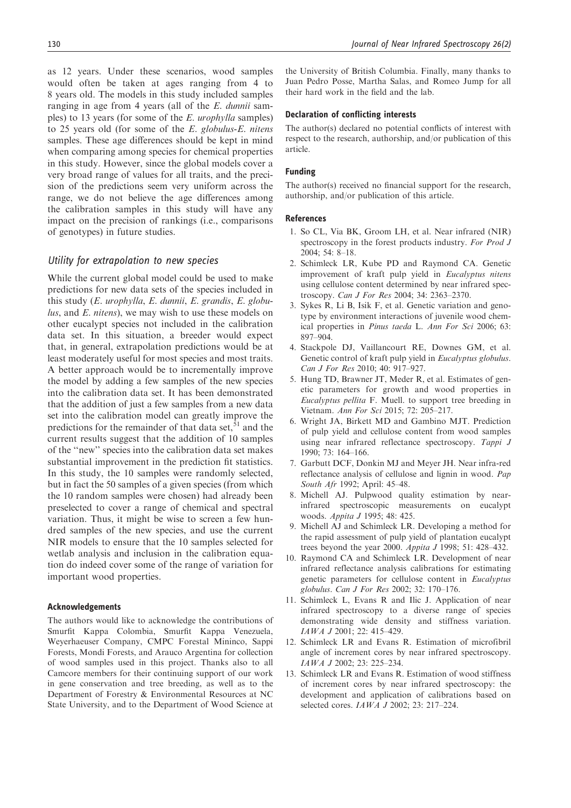as 12 years. Under these scenarios, wood samples would often be taken at ages ranging from 4 to 8 years old. The models in this study included samples ranging in age from 4 years (all of the E. dunnii samples) to 13 years (for some of the E. urophylla samples) to 25 years old (for some of the E. globulus-E. nitens samples. These age differences should be kept in mind when comparing among species for chemical properties in this study. However, since the global models cover a very broad range of values for all traits, and the precision of the predictions seem very uniform across the range, we do not believe the age differences among the calibration samples in this study will have any impact on the precision of rankings (i.e., comparisons of genotypes) in future studies.

### Utility for extrapolation to new species

While the current global model could be used to make predictions for new data sets of the species included in this study (E. urophylla, E. dunnii, E. grandis, E. globulus, and E. nitens), we may wish to use these models on other eucalypt species not included in the calibration data set. In this situation, a breeder would expect that, in general, extrapolation predictions would be at least moderately useful for most species and most traits. A better approach would be to incrementally improve the model by adding a few samples of the new species into the calibration data set. It has been demonstrated that the addition of just a few samples from a new data set into the calibration model can greatly improve the predictions for the remainder of that data set, $51$  and the current results suggest that the addition of 10 samples of the ''new'' species into the calibration data set makes substantial improvement in the prediction fit statistics. In this study, the 10 samples were randomly selected, but in fact the 50 samples of a given species (from which the 10 random samples were chosen) had already been preselected to cover a range of chemical and spectral variation. Thus, it might be wise to screen a few hundred samples of the new species, and use the current NIR models to ensure that the 10 samples selected for wetlab analysis and inclusion in the calibration equation do indeed cover some of the range of variation for important wood properties.

#### Acknowledgements

The authors would like to acknowledge the contributions of Smurfit Kappa Colombia, Smurfit Kappa Venezuela, Weyerhaeuser Company, CMPC Forestal Mininco, Sappi Forests, Mondi Forests, and Arauco Argentina for collection of wood samples used in this project. Thanks also to all Camcore members for their continuing support of our work in gene conservation and tree breeding, as well as to the Department of Forestry & Environmental Resources at NC State University, and to the Department of Wood Science at the University of British Columbia. Finally, many thanks to Juan Pedro Posse, Martha Salas, and Romeo Jump for all their hard work in the field and the lab.

#### Declaration of conflicting interests

The author(s) declared no potential conflicts of interest with respect to the research, authorship, and/or publication of this article.

### Funding

The author(s) received no financial support for the research, authorship, and/or publication of this article.

#### References

- 1. So CL, Via BK, Groom LH, et al. Near infrared (NIR) spectroscopy in the forest products industry. For Prod J 2004; 54: 8–18.
- 2. Schimleck LR, Kube PD and Raymond CA. Genetic improvement of kraft pulp yield in Eucalyptus nitens using cellulose content determined by near infrared spectroscopy. Can J For Res 2004; 34: 2363–2370.
- 3. Sykes R, Li B, Isik F, et al. Genetic variation and genotype by environment interactions of juvenile wood chemical properties in Pinus taeda L. Ann For Sci 2006; 63: 897–904.
- 4. Stackpole DJ, Vaillancourt RE, Downes GM, et al. Genetic control of kraft pulp yield in Eucalyptus globulus. Can J For Res 2010; 40: 917–927.
- 5. Hung TD, Brawner JT, Meder R, et al. Estimates of genetic parameters for growth and wood properties in Eucalyptus pellita F. Muell. to support tree breeding in Vietnam. Ann For Sci 2015; 72: 205–217.
- 6. Wright JA, Birkett MD and Gambino MJT. Prediction of pulp yield and cellulose content from wood samples using near infrared reflectance spectroscopy. Tappi J 1990; 73: 164–166.
- 7. Garbutt DCF, Donkin MJ and Meyer JH. Near infra-red reflectance analysis of cellulose and lignin in wood. Pap South Afr 1992; April: 45–48.
- 8. Michell AJ. Pulpwood quality estimation by nearinfrared spectroscopic measurements on eucalypt woods. Appita J 1995; 48: 425.
- 9. Michell AJ and Schimleck LR. Developing a method for the rapid assessment of pulp yield of plantation eucalypt trees beyond the year 2000. Appita J 1998; 51: 428–432.
- 10. Raymond CA and Schimleck LR. Development of near infrared reflectance analysis calibrations for estimating genetic parameters for cellulose content in Eucalyptus globulus. Can J For Res 2002; 32: 170–176.
- 11. Schimleck L, Evans R and Ilic J. Application of near infrared spectroscopy to a diverse range of species demonstrating wide density and stiffness variation. IAWA J 2001; 22: 415–429.
- 12. Schimleck LR and Evans R. Estimation of microfibril angle of increment cores by near infrared spectroscopy. IAWA J 2002; 23: 225–234.
- 13. Schimleck LR and Evans R. Estimation of wood stiffness of increment cores by near infrared spectroscopy: the development and application of calibrations based on selected cores. IAWA J 2002; 23: 217–224.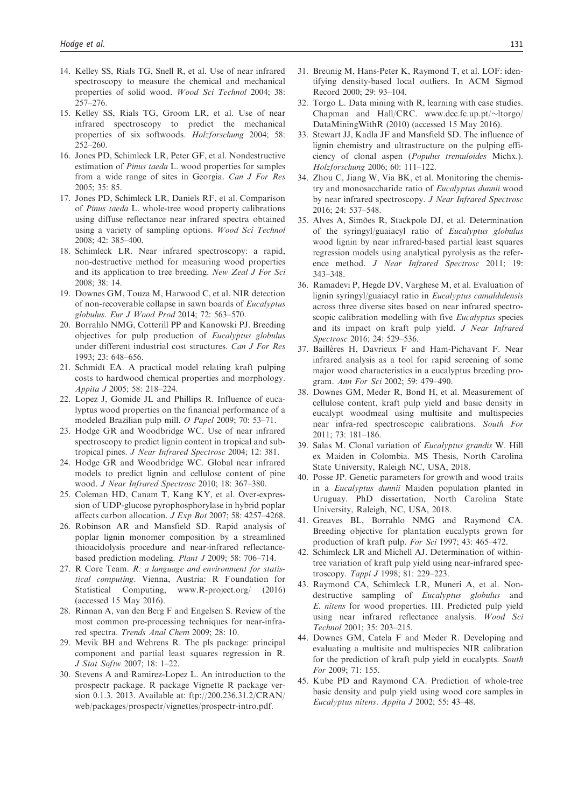- 14. Kelley SS, Rials TG, Snell R, et al. Use of near infrared spectroscopy to measure the chemical and mechanical properties of solid wood. Wood Sci Technol 2004; 38: 257–276.
- 15. Kelley SS, Rials TG, Groom LR, et al. Use of near infrared spectroscopy to predict the mechanical properties of six softwoods. Holzforschung 2004; 58: 252–260.
- 16. Jones PD, Schimleck LR, Peter GF, et al. Nondestructive estimation of Pinus taeda L. wood properties for samples from a wide range of sites in Georgia. Can J For Res 2005; 35: 85.
- 17. Jones PD, Schimleck LR, Daniels RF, et al. Comparison of Pinus taeda L. whole-tree wood property calibrations using diffuse reflectance near infrared spectra obtained using a variety of sampling options. Wood Sci Technol 2008; 42: 385–400.
- 18. Schimleck LR. Near infrared spectroscopy: a rapid, non-destructive method for measuring wood properties and its application to tree breeding. New Zeal J For Sci 2008; 38: 14.
- 19. Downes GM, Touza M, Harwood C, et al. NIR detection of non-recoverable collapse in sawn boards of Eucalyptus globulus. Eur J Wood Prod 2014; 72: 563–570.
- 20. Borrahlo NMG, Cotterill PP and Kanowski PJ. Breeding objectives for pulp production of Eucalyptus globulus under different industrial cost structures. Can J For Res 1993; 23: 648–656.
- 21. Schmidt EA. A practical model relating kraft pulping costs to hardwood chemical properties and morphology. Appita J 2005; 58: 218–224.
- 22. Lopez J, Gomide JL and Phillips R. Influence of eucalyptus wood properties on the financial performance of a modeled Brazilian pulp mill. O Papel 2009; 70: 53–71.
- 23. Hodge GR and Woodbridge WC. Use of near infrared spectroscopy to predict lignin content in tropical and subtropical pines. J Near Infrared Spectrosc 2004; 12: 381.
- 24. Hodge GR and Woodbridge WC. Global near infrared models to predict lignin and cellulose content of pine wood. J Near Infrared Spectrosc 2010; 18: 367–380.
- 25. Coleman HD, Canam T, Kang KY, et al. Over-expression of UDP-glucose pyrophosphorylase in hybrid poplar affects carbon allocation. J Exp Bot 2007; 58: 4257–4268.
- 26. Robinson AR and Mansfield SD. Rapid analysis of poplar lignin monomer composition by a streamlined thioacidolysis procedure and near-infrared reflectancebased prediction modeling. Plant J 2009; 58: 706–714.
- 27. R Core Team. R: a language and environment for statistical computing. Vienna, Austria: R Foundation for Statistical Computing, [www.R-project.org/](http://www.R-project.org/) (2016) (accessed 15 May 2016).
- 28. Rinnan A, van den Berg F and Engelsen S. Review of the most common pre-processing techniques for near-infrared spectra. Trends Anal Chem 2009; 28: 10.
- 29. Mevik BH and Wehrens R. The pls package: principal component and partial least squares regression in R. J Stat Softw 2007; 18: 1–22.
- 30. Stevens A and Ramirez-Lopez L. An introduction to the prospectr package. R package Vignette R package version 0.1.3. 2013. Available at: ftp://200.236.31.2/CRAN/ web/packages/prospectr/vignettes/prospectr-intro.pdf.
- 31. Breunig M, Hans-Peter K, Raymond T, et al. LOF: identifying density-based local outliers. In ACM Sigmod Record 2000; 29: 93–104.
- 32. Torgo L. Data mining with R, learning with case studies. Chapman and Hall/CRC. www.dcc.fc.up.pt/~ltorgo/ DataMiningWithR (2010) (accessed 15 May 2016).
- 33. Stewart JJ, Kadla JF and Mansfield SD. The influence of lignin chemistry and ultrastructure on the pulping efficiency of clonal aspen (Populus tremuloides Michx.). Holzforschung 2006; 60: 111–122.
- 34. Zhou C, Jiang W, Via BK, et al. Monitoring the chemistry and monosaccharide ratio of Eucalyptus dunnii wood by near infrared spectroscopy. J Near Infrared Spectrosc 2016; 24: 537–548.
- 35. Alves A, Simões R, Stackpole DJ, et al. Determination of the syringyl/guaiacyl ratio of Eucalyptus globulus wood lignin by near infrared-based partial least squares regression models using analytical pyrolysis as the reference method. J Near Infrared Spectrosc 2011; 19: 343–348.
- 36. Ramadevi P, Hegde DV, Varghese M, et al. Evaluation of lignin syringyl/guaiacyl ratio in Eucalyptus camaldulensis across three diverse sites based on near infrared spectroscopic calibration modelling with five *Eucalyptus* species and its impact on kraft pulp yield. J Near Infrared Spectrosc 2016; 24: 529–536.
- 37. Baillères H, Davrieux F and Ham-Pichavant F. Near infrared analysis as a tool for rapid screening of some major wood characteristics in a eucalyptus breeding program. Ann For Sci 2002; 59: 479–490.
- 38. Downes GM, Meder R, Bond H, et al. Measurement of cellulose content, kraft pulp yield and basic density in eucalypt woodmeal using multisite and multispecies near infra-red spectroscopic calibrations. South For 2011; 73: 181–186.
- 39. Salas M. Clonal variation of Eucalyptus grandis W. Hill ex Maiden in Colombia. MS Thesis, North Carolina State University, Raleigh NC, USA, 2018.
- 40. Posse JP. Genetic parameters for growth and wood traits in a Eucalyptus dunnii Maiden population planted in Uruguay. PhD dissertation, North Carolina State University, Raleigh, NC, USA, 2018.
- 41. Greaves BL, Borrahlo NMG and Raymond CA. Breeding objective for plantation eucalypts grown for production of kraft pulp. For Sci 1997; 43: 465–472.
- 42. Schimleck LR and Michell AJ. Determination of withintree variation of kraft pulp yield using near-infrared spectroscopy. Tappi J 1998; 81: 229–223.
- 43. Raymond CA, Schimleck LR, Muneri A, et al. Nondestructive sampling of Eucalyptus globulus and E. nitens for wood properties. III. Predicted pulp yield using near infrared reflectance analysis. Wood Sci Technol 2001; 35: 203–215.
- 44. Downes GM, Catela F and Meder R. Developing and evaluating a multisite and multispecies NIR calibration for the prediction of kraft pulp yield in eucalypts. South For 2009; 71: 155.
- 45. Kube PD and Raymond CA. Prediction of whole-tree basic density and pulp yield using wood core samples in Eucalyptus nitens. Appita J 2002; 55: 43–48.